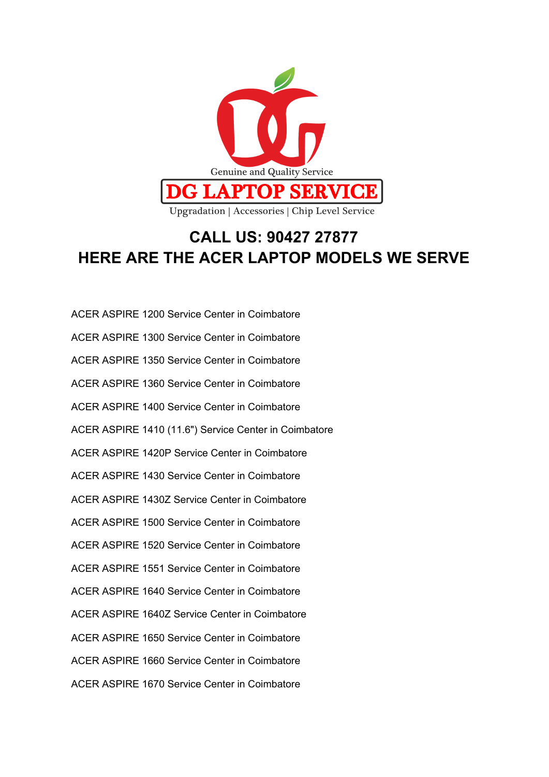

## **CALL US: 90427 27877 HERE ARE THE ACER LAPTOP MODELS WE SERVE**

ACER ASPIRE 1200 Service Center in Coimbatore ACER ASPIRE 1300 Service Center in Coimbatore ACER ASPIRE 1350 Service Center in Coimbatore ACER ASPIRE 1360 Service Center in Coimbatore ACER ASPIRE 1400 Service Center in Coimbatore ACER ASPIRE 1410 (11.6") Service Center in Coimbatore ACER ASPIRE 1420P Service Center in Coimbatore ACER ASPIRE 1430 Service Center in Coimbatore ACER ASPIRE 1430Z Service Center in Coimbatore ACER ASPIRE 1500 Service Center in Coimbatore ACER ASPIRE 1520 Service Center in Coimbatore ACER ASPIRE 1551 Service Center in Coimbatore ACER ASPIRE 1640 Service Center in Coimbatore ACER ASPIRE 1640Z Service Center in Coimbatore ACER ASPIRE 1650 Service Center in Coimbatore ACER ASPIRE 1660 Service Center in Coimbatore ACER ASPIRE 1670 Service Center in Coimbatore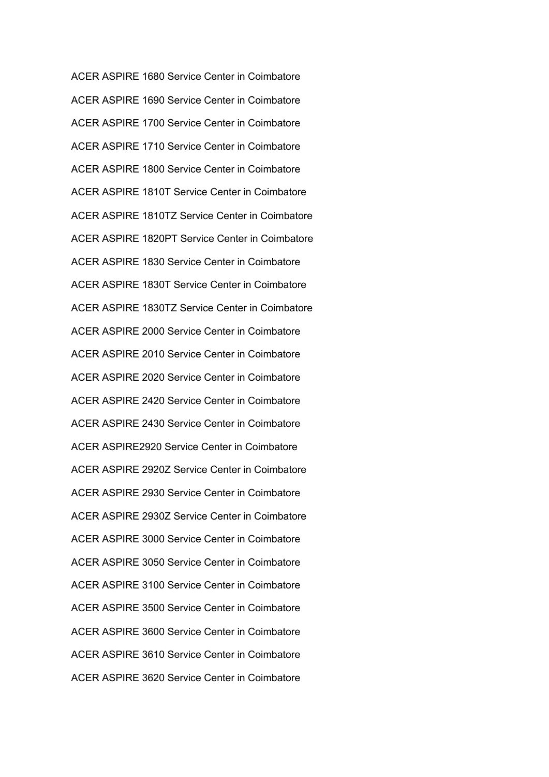ACER ASPIRE 1680 Service Center in Coimbatore ACER ASPIRE 1690 Service Center in Coimbatore ACER ASPIRE 1700 Service Center in Coimbatore ACER ASPIRE 1710 Service Center in Coimbatore ACER ASPIRE 1800 Service Center in Coimbatore ACER ASPIRE 1810T Service Center in Coimbatore ACER ASPIRE 1810TZ Service Center in Coimbatore ACER ASPIRE 1820PT Service Center in Coimbatore ACER ASPIRE 1830 Service Center in Coimbatore ACER ASPIRE 1830T Service Center in Coimbatore ACER ASPIRE 1830TZ Service Center in Coimbatore ACER ASPIRE 2000 Service Center in Coimbatore ACER ASPIRE 2010 Service Center in Coimbatore ACER ASPIRE 2020 Service Center in Coimbatore ACER ASPIRE 2420 Service Center in Coimbatore ACER ASPIRE 2430 Service Center in Coimbatore ACER ASPIRE2920 Service Center in Coimbatore ACER ASPIRE 2920Z Service Center in Coimbatore ACER ASPIRE 2930 Service Center in Coimbatore ACER ASPIRE 2930Z Service Center in Coimbatore ACER ASPIRE 3000 Service Center in Coimbatore ACER ASPIRE 3050 Service Center in Coimbatore ACER ASPIRE 3100 Service Center in Coimbatore ACER ASPIRE 3500 Service Center in Coimbatore ACER ASPIRE 3600 Service Center in Coimbatore ACER ASPIRE 3610 Service Center in Coimbatore ACER ASPIRE 3620 Service Center in Coimbatore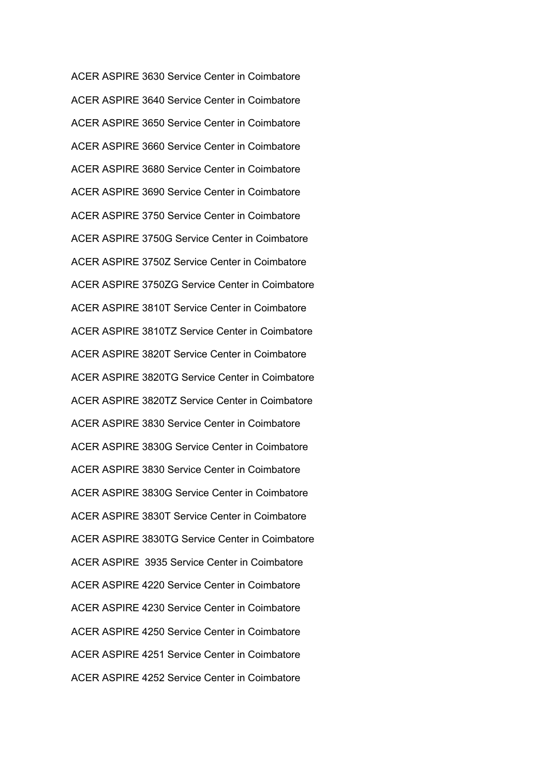ACER ASPIRE 3630 Service Center in Coimbatore ACER ASPIRE 3640 Service Center in Coimbatore ACER ASPIRE 3650 Service Center in Coimbatore ACER ASPIRE 3660 Service Center in Coimbatore ACER ASPIRE 3680 Service Center in Coimbatore ACER ASPIRE 3690 Service Center in Coimbatore ACER ASPIRE 3750 Service Center in Coimbatore ACER ASPIRE 3750G Service Center in Coimbatore ACER ASPIRE 3750Z Service Center in Coimbatore ACER ASPIRE 3750ZG Service Center in Coimbatore ACER ASPIRE 3810T Service Center in Coimbatore ACER ASPIRE 3810TZ Service Center in Coimbatore ACER ASPIRE 3820T Service Center in Coimbatore ACER ASPIRE 3820TG Service Center in Coimbatore ACER ASPIRE 3820TZ Service Center in Coimbatore ACER ASPIRE 3830 Service Center in Coimbatore ACER ASPIRE 3830G Service Center in Coimbatore ACER ASPIRE 3830 Service Center in Coimbatore ACER ASPIRE 3830G Service Center in Coimbatore ACER ASPIRE 3830T Service Center in Coimbatore ACER ASPIRE 3830TG Service Center in Coimbatore ACER ASPIRE 3935 Service Center in Coimbatore ACER ASPIRE 4220 Service Center in Coimbatore ACER ASPIRE 4230 Service Center in Coimbatore ACER ASPIRE 4250 Service Center in Coimbatore ACER ASPIRE 4251 Service Center in Coimbatore ACER ASPIRE 4252 Service Center in Coimbatore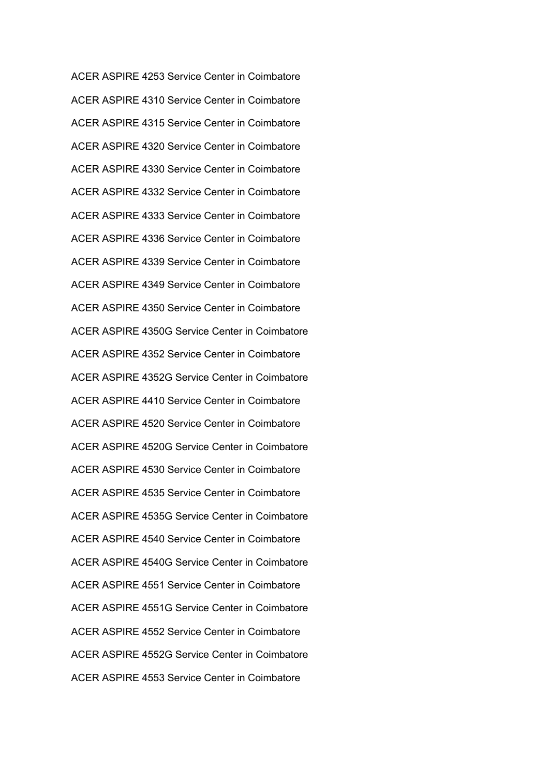ACER ASPIRE 4253 Service Center in Coimbatore ACER ASPIRE 4310 Service Center in Coimbatore ACER ASPIRE 4315 Service Center in Coimbatore ACER ASPIRE 4320 Service Center in Coimbatore ACER ASPIRE 4330 Service Center in Coimbatore ACER ASPIRE 4332 Service Center in Coimbatore ACER ASPIRE 4333 Service Center in Coimbatore ACER ASPIRE 4336 Service Center in Coimbatore ACER ASPIRE 4339 Service Center in Coimbatore ACER ASPIRE 4349 Service Center in Coimbatore ACER ASPIRE 4350 Service Center in Coimbatore ACER ASPIRE 4350G Service Center in Coimbatore ACER ASPIRE 4352 Service Center in Coimbatore ACER ASPIRE 4352G Service Center in Coimbatore ACER ASPIRE 4410 Service Center in Coimbatore ACER ASPIRE 4520 Service Center in Coimbatore ACER ASPIRE 4520G Service Center in Coimbatore ACER ASPIRE 4530 Service Center in Coimbatore ACER ASPIRE 4535 Service Center in Coimbatore ACER ASPIRE 4535G Service Center in Coimbatore ACER ASPIRE 4540 Service Center in Coimbatore ACER ASPIRE 4540G Service Center in Coimbatore ACER ASPIRE 4551 Service Center in Coimbatore ACER ASPIRE 4551G Service Center in Coimbatore ACER ASPIRE 4552 Service Center in Coimbatore ACER ASPIRE 4552G Service Center in Coimbatore ACER ASPIRE 4553 Service Center in Coimbatore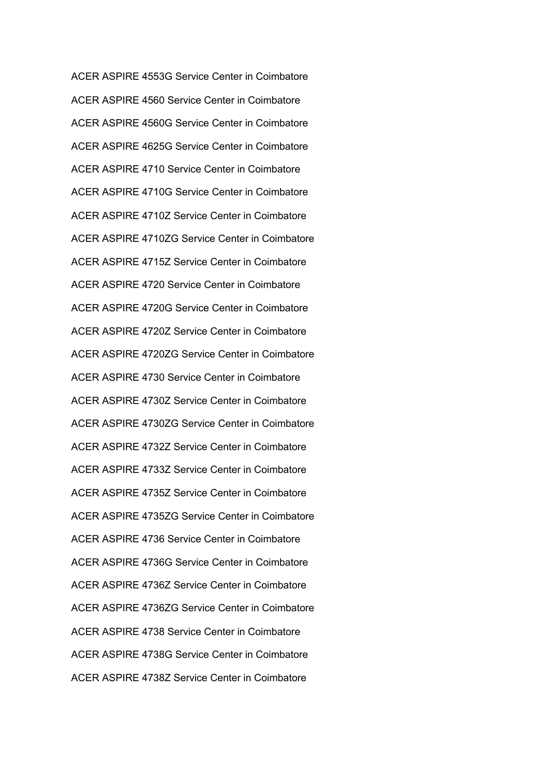ACER ASPIRE 4553G Service Center in Coimbatore ACER ASPIRE 4560 Service Center in Coimbatore ACER ASPIRE 4560G Service Center in Coimbatore ACER ASPIRE 4625G Service Center in Coimbatore ACER ASPIRE 4710 Service Center in Coimbatore ACER ASPIRE 4710G Service Center in Coimbatore ACER ASPIRE 4710Z Service Center in Coimbatore ACER ASPIRE 4710ZG Service Center in Coimbatore ACER ASPIRE 4715Z Service Center in Coimbatore ACER ASPIRE 4720 Service Center in Coimbatore ACER ASPIRE 4720G Service Center in Coimbatore ACER ASPIRE 4720Z Service Center in Coimbatore ACER ASPIRE 4720ZG Service Center in Coimbatore ACER ASPIRE 4730 Service Center in Coimbatore ACER ASPIRE 4730Z Service Center in Coimbatore ACER ASPIRE 4730ZG Service Center in Coimbatore ACER ASPIRE 4732Z Service Center in Coimbatore ACER ASPIRE 4733Z Service Center in Coimbatore ACER ASPIRE 4735Z Service Center in Coimbatore ACER ASPIRE 4735ZG Service Center in Coimbatore ACER ASPIRE 4736 Service Center in Coimbatore ACER ASPIRE 4736G Service Center in Coimbatore ACER ASPIRE 4736Z Service Center in Coimbatore ACER ASPIRE 4736ZG Service Center in Coimbatore ACER ASPIRE 4738 Service Center in Coimbatore ACER ASPIRE 4738G Service Center in Coimbatore ACER ASPIRE 4738Z Service Center in Coimbatore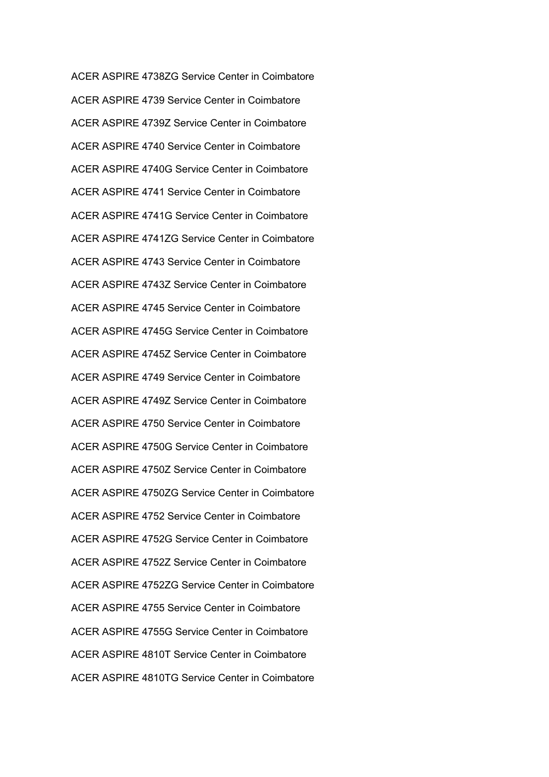ACER ASPIRE 4738ZG Service Center in Coimbatore ACER ASPIRE 4739 Service Center in Coimbatore ACER ASPIRE 4739Z Service Center in Coimbatore ACER ASPIRE 4740 Service Center in Coimbatore ACER ASPIRE 4740G Service Center in Coimbatore ACER ASPIRE 4741 Service Center in Coimbatore ACER ASPIRE 4741G Service Center in Coimbatore ACER ASPIRE 4741ZG Service Center in Coimbatore ACER ASPIRE 4743 Service Center in Coimbatore ACER ASPIRE 4743Z Service Center in Coimbatore ACER ASPIRE 4745 Service Center in Coimbatore ACER ASPIRE 4745G Service Center in Coimbatore ACER ASPIRE 4745Z Service Center in Coimbatore ACER ASPIRE 4749 Service Center in Coimbatore ACER ASPIRE 4749Z Service Center in Coimbatore ACER ASPIRE 4750 Service Center in Coimbatore ACER ASPIRE 4750G Service Center in Coimbatore ACER ASPIRE 4750Z Service Center in Coimbatore ACER ASPIRE 4750ZG Service Center in Coimbatore ACER ASPIRE 4752 Service Center in Coimbatore ACER ASPIRE 4752G Service Center in Coimbatore ACER ASPIRE 4752Z Service Center in Coimbatore ACER ASPIRE 4752ZG Service Center in Coimbatore ACER ASPIRE 4755 Service Center in Coimbatore ACER ASPIRE 4755G Service Center in Coimbatore ACER ASPIRE 4810T Service Center in Coimbatore ACER ASPIRE 4810TG Service Center in Coimbatore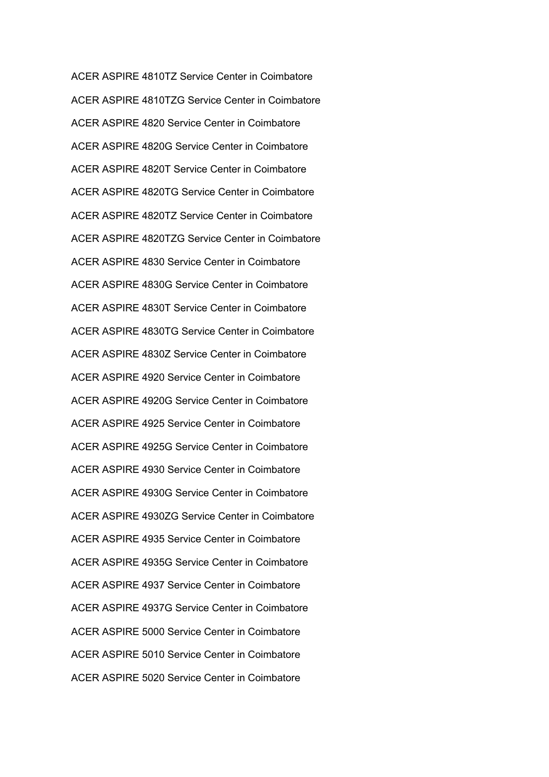ACER ASPIRE 4810TZ Service Center in Coimbatore ACER ASPIRE 4810TZG Service Center in Coimbatore ACER ASPIRE 4820 Service Center in Coimbatore ACER ASPIRE 4820G Service Center in Coimbatore ACER ASPIRE 4820T Service Center in Coimbatore ACER ASPIRE 4820TG Service Center in Coimbatore ACER ASPIRE 4820TZ Service Center in Coimbatore ACER ASPIRE 4820TZG Service Center in Coimbatore ACER ASPIRE 4830 Service Center in Coimbatore ACER ASPIRE 4830G Service Center in Coimbatore ACER ASPIRE 4830T Service Center in Coimbatore ACER ASPIRE 4830TG Service Center in Coimbatore ACER ASPIRE 4830Z Service Center in Coimbatore ACER ASPIRE 4920 Service Center in Coimbatore ACER ASPIRE 4920G Service Center in Coimbatore ACER ASPIRE 4925 Service Center in Coimbatore ACER ASPIRE 4925G Service Center in Coimbatore ACER ASPIRE 4930 Service Center in Coimbatore ACER ASPIRE 4930G Service Center in Coimbatore ACER ASPIRE 4930ZG Service Center in Coimbatore ACER ASPIRE 4935 Service Center in Coimbatore ACER ASPIRE 4935G Service Center in Coimbatore ACER ASPIRE 4937 Service Center in Coimbatore ACER ASPIRE 4937G Service Center in Coimbatore ACER ASPIRE 5000 Service Center in Coimbatore ACER ASPIRE 5010 Service Center in Coimbatore ACER ASPIRE 5020 Service Center in Coimbatore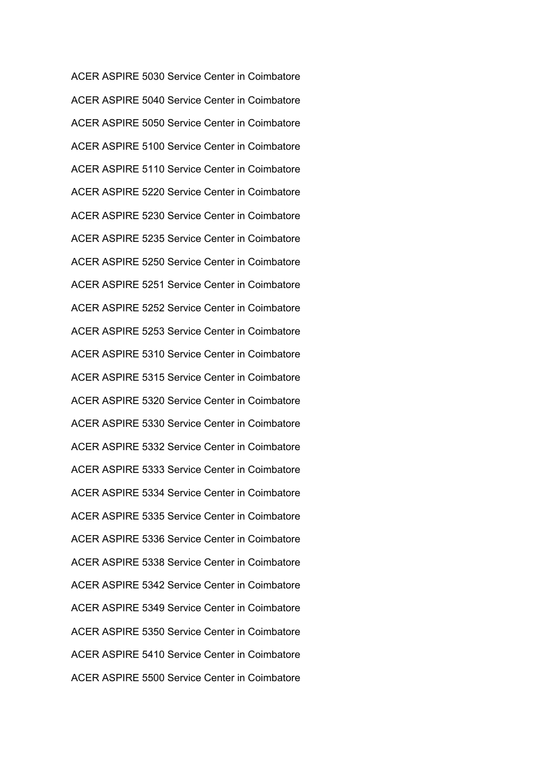ACER ASPIRE 5030 Service Center in Coimbatore ACER ASPIRE 5040 Service Center in Coimbatore ACER ASPIRE 5050 Service Center in Coimbatore ACER ASPIRE 5100 Service Center in Coimbatore ACER ASPIRE 5110 Service Center in Coimbatore ACER ASPIRE 5220 Service Center in Coimbatore ACER ASPIRE 5230 Service Center in Coimbatore ACER ASPIRE 5235 Service Center in Coimbatore ACER ASPIRE 5250 Service Center in Coimbatore ACER ASPIRE 5251 Service Center in Coimbatore ACER ASPIRE 5252 Service Center in Coimbatore ACER ASPIRE 5253 Service Center in Coimbatore ACER ASPIRE 5310 Service Center in Coimbatore ACER ASPIRE 5315 Service Center in Coimbatore ACER ASPIRE 5320 Service Center in Coimbatore ACER ASPIRE 5330 Service Center in Coimbatore ACER ASPIRE 5332 Service Center in Coimbatore ACER ASPIRE 5333 Service Center in Coimbatore ACER ASPIRE 5334 Service Center in Coimbatore ACER ASPIRE 5335 Service Center in Coimbatore ACER ASPIRE 5336 Service Center in Coimbatore ACER ASPIRE 5338 Service Center in Coimbatore ACER ASPIRE 5342 Service Center in Coimbatore ACER ASPIRE 5349 Service Center in Coimbatore ACER ASPIRE 5350 Service Center in Coimbatore ACER ASPIRE 5410 Service Center in Coimbatore ACER ASPIRE 5500 Service Center in Coimbatore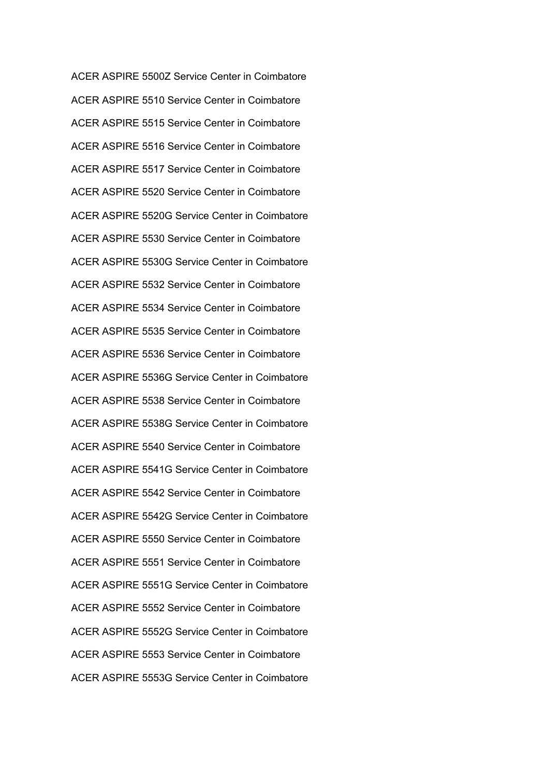ACER ASPIRE 5500Z Service Center in Coimbatore ACER ASPIRE 5510 Service Center in Coimbatore ACER ASPIRE 5515 Service Center in Coimbatore ACER ASPIRE 5516 Service Center in Coimbatore ACER ASPIRE 5517 Service Center in Coimbatore ACER ASPIRE 5520 Service Center in Coimbatore ACER ASPIRE 5520G Service Center in Coimbatore ACER ASPIRE 5530 Service Center in Coimbatore ACER ASPIRE 5530G Service Center in Coimbatore ACER ASPIRE 5532 Service Center in Coimbatore ACER ASPIRE 5534 Service Center in Coimbatore ACER ASPIRE 5535 Service Center in Coimbatore ACER ASPIRE 5536 Service Center in Coimbatore ACER ASPIRE 5536G Service Center in Coimbatore ACER ASPIRE 5538 Service Center in Coimbatore ACER ASPIRE 5538G Service Center in Coimbatore ACER ASPIRE 5540 Service Center in Coimbatore ACER ASPIRE 5541G Service Center in Coimbatore ACER ASPIRE 5542 Service Center in Coimbatore ACER ASPIRE 5542G Service Center in Coimbatore ACER ASPIRE 5550 Service Center in Coimbatore ACER ASPIRE 5551 Service Center in Coimbatore ACER ASPIRE 5551G Service Center in Coimbatore ACER ASPIRE 5552 Service Center in Coimbatore ACER ASPIRE 5552G Service Center in Coimbatore ACER ASPIRE 5553 Service Center in Coimbatore ACER ASPIRE 5553G Service Center in Coimbatore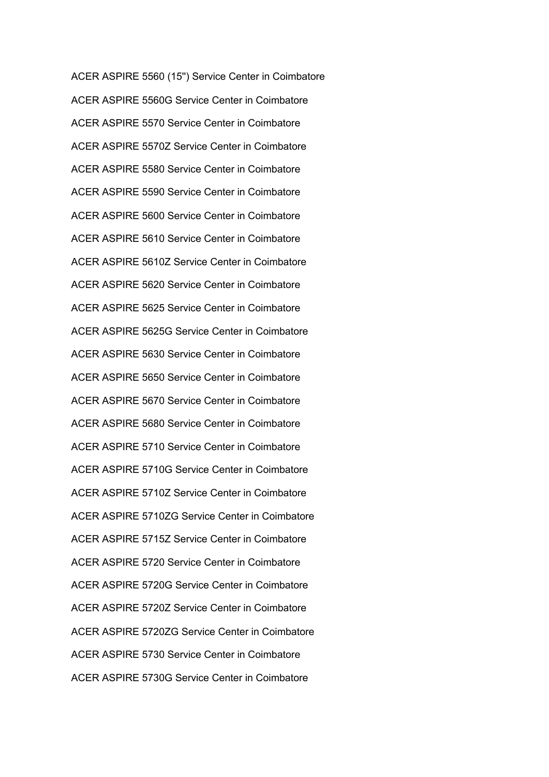ACER ASPIRE 5560 (15'') Service Center in Coimbatore ACER ASPIRE 5560G Service Center in Coimbatore ACER ASPIRE 5570 Service Center in Coimbatore ACER ASPIRE 5570Z Service Center in Coimbatore ACER ASPIRE 5580 Service Center in Coimbatore ACER ASPIRE 5590 Service Center in Coimbatore ACER ASPIRE 5600 Service Center in Coimbatore ACER ASPIRE 5610 Service Center in Coimbatore ACER ASPIRE 5610Z Service Center in Coimbatore ACER ASPIRE 5620 Service Center in Coimbatore ACER ASPIRE 5625 Service Center in Coimbatore ACER ASPIRE 5625G Service Center in Coimbatore ACER ASPIRE 5630 Service Center in Coimbatore ACER ASPIRE 5650 Service Center in Coimbatore ACER ASPIRE 5670 Service Center in Coimbatore ACER ASPIRE 5680 Service Center in Coimbatore ACER ASPIRE 5710 Service Center in Coimbatore ACER ASPIRE 5710G Service Center in Coimbatore ACER ASPIRE 5710Z Service Center in Coimbatore ACER ASPIRE 5710ZG Service Center in Coimbatore ACER ASPIRE 5715Z Service Center in Coimbatore ACER ASPIRE 5720 Service Center in Coimbatore ACER ASPIRE 5720G Service Center in Coimbatore ACER ASPIRE 5720Z Service Center in Coimbatore ACER ASPIRE 5720ZG Service Center in Coimbatore ACER ASPIRE 5730 Service Center in Coimbatore ACER ASPIRE 5730G Service Center in Coimbatore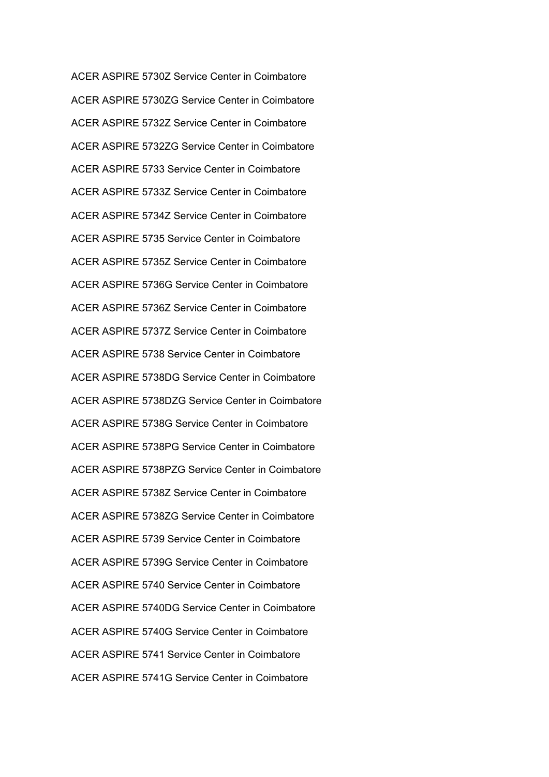ACER ASPIRE 5730Z Service Center in Coimbatore ACER ASPIRE 5730ZG Service Center in Coimbatore ACER ASPIRE 5732Z Service Center in Coimbatore ACER ASPIRE 5732ZG Service Center in Coimbatore ACER ASPIRE 5733 Service Center in Coimbatore ACER ASPIRE 5733Z Service Center in Coimbatore ACER ASPIRE 5734Z Service Center in Coimbatore ACER ASPIRE 5735 Service Center in Coimbatore ACER ASPIRE 5735Z Service Center in Coimbatore ACER ASPIRE 5736G Service Center in Coimbatore ACER ASPIRE 5736Z Service Center in Coimbatore ACER ASPIRE 5737Z Service Center in Coimbatore ACER ASPIRE 5738 Service Center in Coimbatore ACER ASPIRE 5738DG Service Center in Coimbatore ACER ASPIRE 5738DZG Service Center in Coimbatore ACER ASPIRE 5738G Service Center in Coimbatore ACER ASPIRE 5738PG Service Center in Coimbatore ACER ASPIRE 5738PZG Service Center in Coimbatore ACER ASPIRE 5738Z Service Center in Coimbatore ACER ASPIRE 5738ZG Service Center in Coimbatore ACER ASPIRE 5739 Service Center in Coimbatore ACER ASPIRE 5739G Service Center in Coimbatore ACER ASPIRE 5740 Service Center in Coimbatore ACER ASPIRE 5740DG Service Center in Coimbatore ACER ASPIRE 5740G Service Center in Coimbatore ACER ASPIRE 5741 Service Center in Coimbatore ACER ASPIRE 5741G Service Center in Coimbatore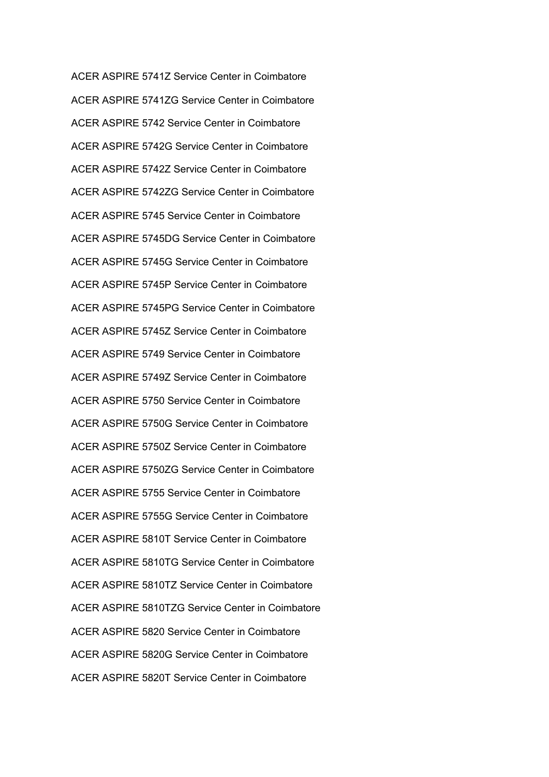ACER ASPIRE 5741Z Service Center in Coimbatore ACER ASPIRE 5741ZG Service Center in Coimbatore ACER ASPIRE 5742 Service Center in Coimbatore ACER ASPIRE 5742G Service Center in Coimbatore ACER ASPIRE 5742Z Service Center in Coimbatore ACER ASPIRE 5742ZG Service Center in Coimbatore ACER ASPIRE 5745 Service Center in Coimbatore ACER ASPIRE 5745DG Service Center in Coimbatore ACER ASPIRE 5745G Service Center in Coimbatore ACER ASPIRE 5745P Service Center in Coimbatore ACER ASPIRE 5745PG Service Center in Coimbatore ACER ASPIRE 5745Z Service Center in Coimbatore ACER ASPIRE 5749 Service Center in Coimbatore ACER ASPIRE 5749Z Service Center in Coimbatore ACER ASPIRE 5750 Service Center in Coimbatore ACER ASPIRE 5750G Service Center in Coimbatore ACER ASPIRE 5750Z Service Center in Coimbatore ACER ASPIRE 5750ZG Service Center in Coimbatore ACER ASPIRE 5755 Service Center in Coimbatore ACER ASPIRE 5755G Service Center in Coimbatore ACER ASPIRE 5810T Service Center in Coimbatore ACER ASPIRE 5810TG Service Center in Coimbatore ACER ASPIRE 5810TZ Service Center in Coimbatore ACER ASPIRE 5810TZG Service Center in Coimbatore ACER ASPIRE 5820 Service Center in Coimbatore ACER ASPIRE 5820G Service Center in Coimbatore ACER ASPIRE 5820T Service Center in Coimbatore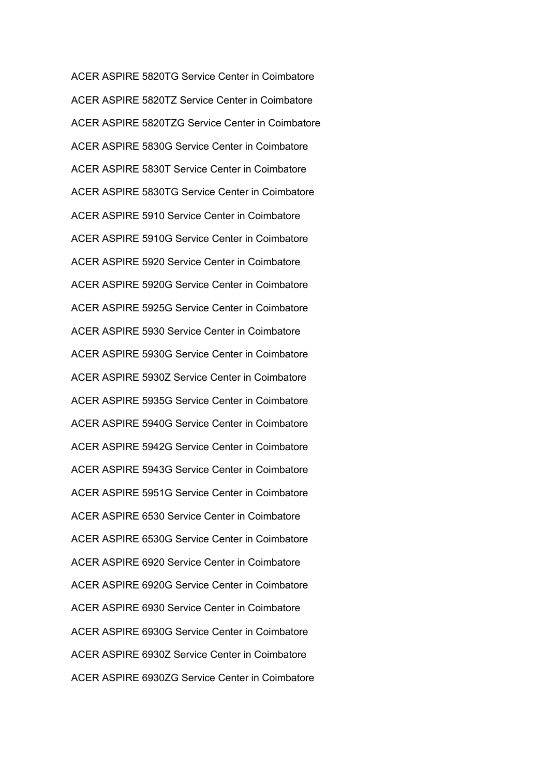ACER ASPIRE 5820TG Service Center in Coimbatore ACER ASPIRE 5820TZ Service Center in Coimbatore ACER ASPIRE 5820TZG Service Center in Coimbatore ACER ASPIRE 5830G Service Center in Coimbatore ACER ASPIRE 5830T Service Center in Coimbatore ACER ASPIRE 5830TG Service Center in Coimbatore ACER ASPIRE 5910 Service Center in Coimbatore ACER ASPIRE 5910G Service Center in Coimbatore ACER ASPIRE 5920 Service Center in Coimbatore ACER ASPIRE 5920G Service Center in Coimbatore ACER ASPIRE 5925G Service Center in Coimbatore ACER ASPIRE 5930 Service Center in Coimbatore ACER ASPIRE 5930G Service Center in Coimbatore ACER ASPIRE 5930Z Service Center in Coimbatore ACER ASPIRE 5935G Service Center in Coimbatore ACER ASPIRE 5940G Service Center in Coimbatore ACER ASPIRE 5942G Service Center in Coimbatore ACER ASPIRE 5943G Service Center in Coimbatore ACER ASPIRE 5951G Service Center in Coimbatore ACER ASPIRE 6530 Service Center in Coimbatore ACER ASPIRE 6530G Service Center in Coimbatore ACER ASPIRE 6920 Service Center in Coimbatore ACER ASPIRE 6920G Service Center in Coimbatore ACER ASPIRE 6930 Service Center in Coimbatore ACER ASPIRE 6930G Service Center in Coimbatore ACER ASPIRE 6930Z Service Center in Coimbatore ACER ASPIRE 6930ZG Service Center in Coimbatore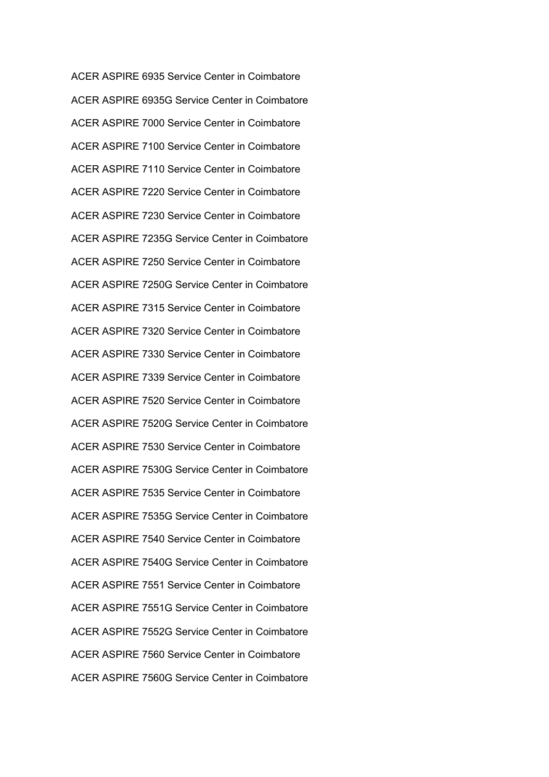ACER ASPIRE 6935 Service Center in Coimbatore ACER ASPIRE 6935G Service Center in Coimbatore ACER ASPIRE 7000 Service Center in Coimbatore ACER ASPIRE 7100 Service Center in Coimbatore ACER ASPIRE 7110 Service Center in Coimbatore ACER ASPIRE 7220 Service Center in Coimbatore ACER ASPIRE 7230 Service Center in Coimbatore ACER ASPIRE 7235G Service Center in Coimbatore ACER ASPIRE 7250 Service Center in Coimbatore ACER ASPIRE 7250G Service Center in Coimbatore ACER ASPIRE 7315 Service Center in Coimbatore ACER ASPIRE 7320 Service Center in Coimbatore ACER ASPIRE 7330 Service Center in Coimbatore ACER ASPIRE 7339 Service Center in Coimbatore ACER ASPIRE 7520 Service Center in Coimbatore ACER ASPIRE 7520G Service Center in Coimbatore ACER ASPIRE 7530 Service Center in Coimbatore ACER ASPIRE 7530G Service Center in Coimbatore ACER ASPIRE 7535 Service Center in Coimbatore ACER ASPIRE 7535G Service Center in Coimbatore ACER ASPIRE 7540 Service Center in Coimbatore ACER ASPIRE 7540G Service Center in Coimbatore ACER ASPIRE 7551 Service Center in Coimbatore ACER ASPIRE 7551G Service Center in Coimbatore ACER ASPIRE 7552G Service Center in Coimbatore ACER ASPIRE 7560 Service Center in Coimbatore ACER ASPIRE 7560G Service Center in Coimbatore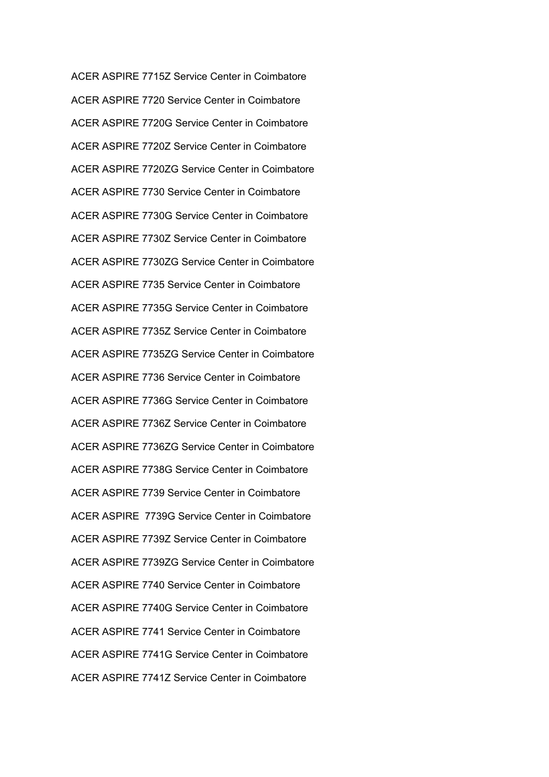ACER ASPIRE 7715Z Service Center in Coimbatore ACER ASPIRE 7720 Service Center in Coimbatore ACER ASPIRE 7720G Service Center in Coimbatore ACER ASPIRE 7720Z Service Center in Coimbatore ACER ASPIRE 7720ZG Service Center in Coimbatore ACER ASPIRE 7730 Service Center in Coimbatore ACER ASPIRE 7730G Service Center in Coimbatore ACER ASPIRE 7730Z Service Center in Coimbatore ACER ASPIRE 7730ZG Service Center in Coimbatore ACER ASPIRE 7735 Service Center in Coimbatore ACER ASPIRE 7735G Service Center in Coimbatore ACER ASPIRE 7735Z Service Center in Coimbatore ACER ASPIRE 7735ZG Service Center in Coimbatore ACER ASPIRE 7736 Service Center in Coimbatore ACER ASPIRE 7736G Service Center in Coimbatore ACER ASPIRE 7736Z Service Center in Coimbatore ACER ASPIRE 7736ZG Service Center in Coimbatore ACER ASPIRE 7738G Service Center in Coimbatore ACER ASPIRE 7739 Service Center in Coimbatore ACER ASPIRE 7739G Service Center in Coimbatore ACER ASPIRE 7739Z Service Center in Coimbatore ACER ASPIRE 7739ZG Service Center in Coimbatore ACER ASPIRE 7740 Service Center in Coimbatore ACER ASPIRE 7740G Service Center in Coimbatore ACER ASPIRE 7741 Service Center in Coimbatore ACER ASPIRE 7741G Service Center in Coimbatore ACER ASPIRE 7741Z Service Center in Coimbatore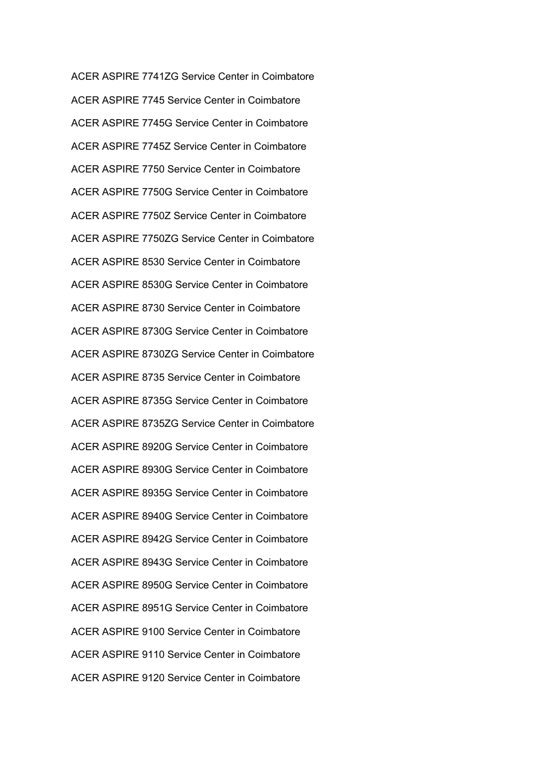ACER ASPIRE 7741ZG Service Center in Coimbatore ACER ASPIRE 7745 Service Center in Coimbatore ACER ASPIRE 7745G Service Center in Coimbatore ACER ASPIRE 7745Z Service Center in Coimbatore ACER ASPIRE 7750 Service Center in Coimbatore ACER ASPIRE 7750G Service Center in Coimbatore ACER ASPIRE 7750Z Service Center in Coimbatore ACER ASPIRE 7750ZG Service Center in Coimbatore ACER ASPIRE 8530 Service Center in Coimbatore ACER ASPIRE 8530G Service Center in Coimbatore ACER ASPIRE 8730 Service Center in Coimbatore ACER ASPIRE 8730G Service Center in Coimbatore ACER ASPIRE 8730ZG Service Center in Coimbatore ACER ASPIRE 8735 Service Center in Coimbatore ACER ASPIRE 8735G Service Center in Coimbatore ACER ASPIRE 8735ZG Service Center in Coimbatore ACER ASPIRE 8920G Service Center in Coimbatore ACER ASPIRE 8930G Service Center in Coimbatore ACER ASPIRE 8935G Service Center in Coimbatore ACER ASPIRE 8940G Service Center in Coimbatore ACER ASPIRE 8942G Service Center in Coimbatore ACER ASPIRE 8943G Service Center in Coimbatore ACER ASPIRE 8950G Service Center in Coimbatore ACER ASPIRE 8951G Service Center in Coimbatore ACER ASPIRE 9100 Service Center in Coimbatore ACER ASPIRE 9110 Service Center in Coimbatore ACER ASPIRE 9120 Service Center in Coimbatore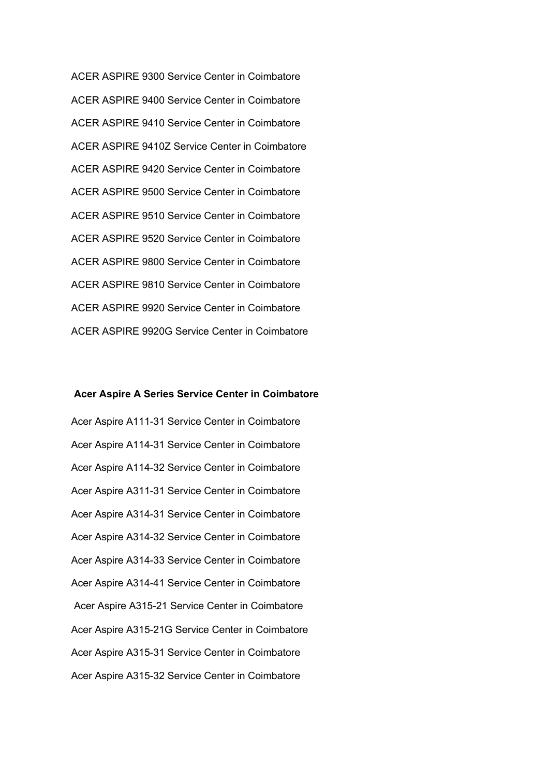ACER ASPIRE 9300 Service Center in Coimbatore ACER ASPIRE 9400 Service Center in Coimbatore ACER ASPIRE 9410 Service Center in Coimbatore ACER ASPIRE 9410Z Service Center in Coimbatore ACER ASPIRE 9420 Service Center in Coimbatore ACER ASPIRE 9500 Service Center in Coimbatore ACER ASPIRE 9510 Service Center in Coimbatore ACER ASPIRE 9520 Service Center in Coimbatore ACER ASPIRE 9800 Service Center in Coimbatore ACER ASPIRE 9810 Service Center in Coimbatore ACER ASPIRE 9920 Service Center in Coimbatore ACER ASPIRE 9920G Service Center in Coimbatore

## **Acer Aspire A Series Service Center in Coimbatore**

Acer Aspire A111-31 Service Center in Coimbatore Acer Aspire A114-31 Service Center in Coimbatore Acer Aspire A114-32 Service Center in Coimbatore Acer Aspire A311-31 Service Center in Coimbatore Acer Aspire A314-31 Service Center in Coimbatore Acer Aspire A314-32 Service Center in Coimbatore Acer Aspire A314-33 Service Center in Coimbatore Acer Aspire A314-41 Service Center in Coimbatore Acer Aspire A315-21 Service Center in Coimbatore Acer Aspire A315-21G Service Center in Coimbatore Acer Aspire A315-31 Service Center in Coimbatore Acer Aspire A315-32 Service Center in Coimbatore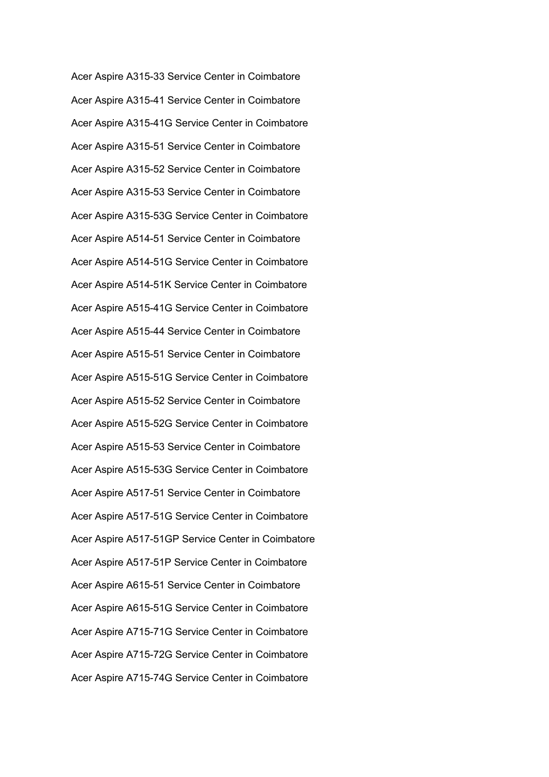Acer Aspire A315-33 Service Center in Coimbatore Acer Aspire A315-41 Service Center in Coimbatore Acer Aspire A315-41G Service Center in Coimbatore Acer Aspire A315-51 Service Center in Coimbatore Acer Aspire A315-52 Service Center in Coimbatore Acer Aspire A315-53 Service Center in Coimbatore Acer Aspire A315-53G Service Center in Coimbatore Acer Aspire A514-51 Service Center in Coimbatore Acer Aspire A514-51G Service Center in Coimbatore Acer Aspire A514-51K Service Center in Coimbatore Acer Aspire A515-41G Service Center in Coimbatore Acer Aspire A515-44 Service Center in Coimbatore Acer Aspire A515-51 Service Center in Coimbatore Acer Aspire A515-51G Service Center in Coimbatore Acer Aspire A515-52 Service Center in Coimbatore Acer Aspire A515-52G Service Center in Coimbatore Acer Aspire A515-53 Service Center in Coimbatore Acer Aspire A515-53G Service Center in Coimbatore Acer Aspire A517-51 Service Center in Coimbatore Acer Aspire A517-51G Service Center in Coimbatore Acer Aspire A517-51GP Service Center in Coimbatore Acer Aspire A517-51P Service Center in Coimbatore Acer Aspire A615-51 Service Center in Coimbatore Acer Aspire A615-51G Service Center in Coimbatore Acer Aspire A715-71G Service Center in Coimbatore Acer Aspire A715-72G Service Center in Coimbatore Acer Aspire A715-74G Service Center in Coimbatore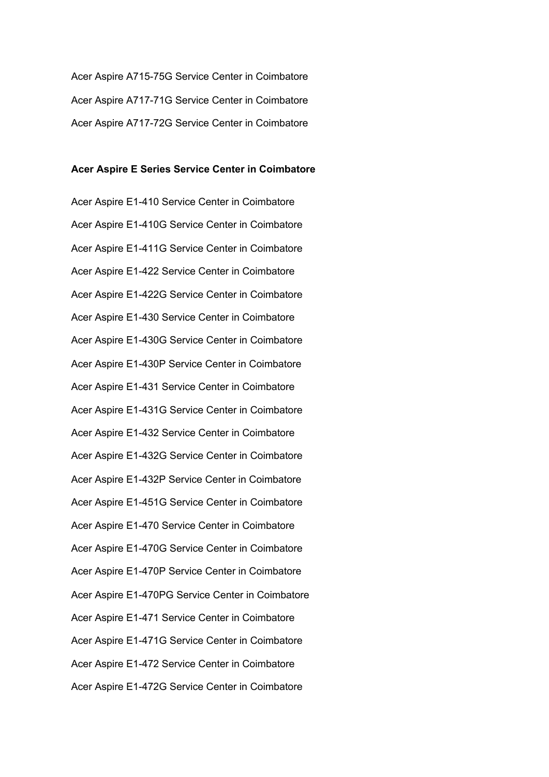Acer Aspire A715-75G Service Center in Coimbatore Acer Aspire A717-71G Service Center in Coimbatore Acer Aspire A717-72G Service Center in Coimbatore

## **Acer Aspire E Series Service Center in Coimbatore**

Acer Aspire E1-410 Service Center in Coimbatore Acer Aspire E1-410G Service Center in Coimbatore Acer Aspire E1-411G Service Center in Coimbatore Acer Aspire E1-422 Service Center in Coimbatore Acer Aspire E1-422G Service Center in Coimbatore Acer Aspire E1-430 Service Center in Coimbatore Acer Aspire E1-430G Service Center in Coimbatore Acer Aspire E1-430P Service Center in Coimbatore Acer Aspire E1-431 Service Center in Coimbatore Acer Aspire E1-431G Service Center in Coimbatore Acer Aspire E1-432 Service Center in Coimbatore Acer Aspire E1-432G Service Center in Coimbatore Acer Aspire E1-432P Service Center in Coimbatore Acer Aspire E1-451G Service Center in Coimbatore Acer Aspire E1-470 Service Center in Coimbatore Acer Aspire E1-470G Service Center in Coimbatore Acer Aspire E1-470P Service Center in Coimbatore Acer Aspire E1-470PG Service Center in Coimbatore Acer Aspire E1-471 Service Center in Coimbatore Acer Aspire E1-471G Service Center in Coimbatore Acer Aspire E1-472 Service Center in Coimbatore Acer Aspire E1-472G Service Center in Coimbatore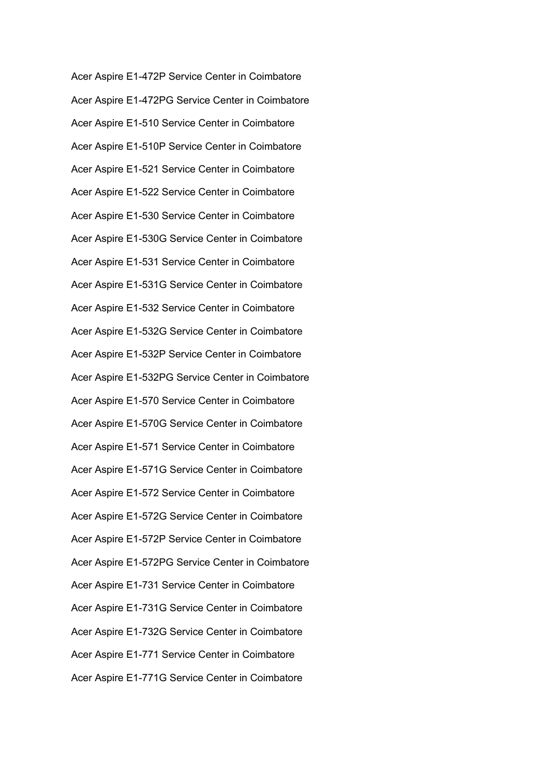Acer Aspire E1-472P Service Center in Coimbatore Acer Aspire E1-472PG Service Center in Coimbatore Acer Aspire E1-510 Service Center in Coimbatore Acer Aspire E1-510P Service Center in Coimbatore Acer Aspire E1-521 Service Center in Coimbatore Acer Aspire E1-522 Service Center in Coimbatore Acer Aspire E1-530 Service Center in Coimbatore Acer Aspire E1-530G Service Center in Coimbatore Acer Aspire E1-531 Service Center in Coimbatore Acer Aspire E1-531G Service Center in Coimbatore Acer Aspire E1-532 Service Center in Coimbatore Acer Aspire E1-532G Service Center in Coimbatore Acer Aspire E1-532P Service Center in Coimbatore Acer Aspire E1-532PG Service Center in Coimbatore Acer Aspire E1-570 Service Center in Coimbatore Acer Aspire E1-570G Service Center in Coimbatore Acer Aspire E1-571 Service Center in Coimbatore Acer Aspire E1-571G Service Center in Coimbatore Acer Aspire E1-572 Service Center in Coimbatore Acer Aspire E1-572G Service Center in Coimbatore Acer Aspire E1-572P Service Center in Coimbatore Acer Aspire E1-572PG Service Center in Coimbatore Acer Aspire E1-731 Service Center in Coimbatore Acer Aspire E1-731G Service Center in Coimbatore Acer Aspire E1-732G Service Center in Coimbatore Acer Aspire E1-771 Service Center in Coimbatore Acer Aspire E1-771G Service Center in Coimbatore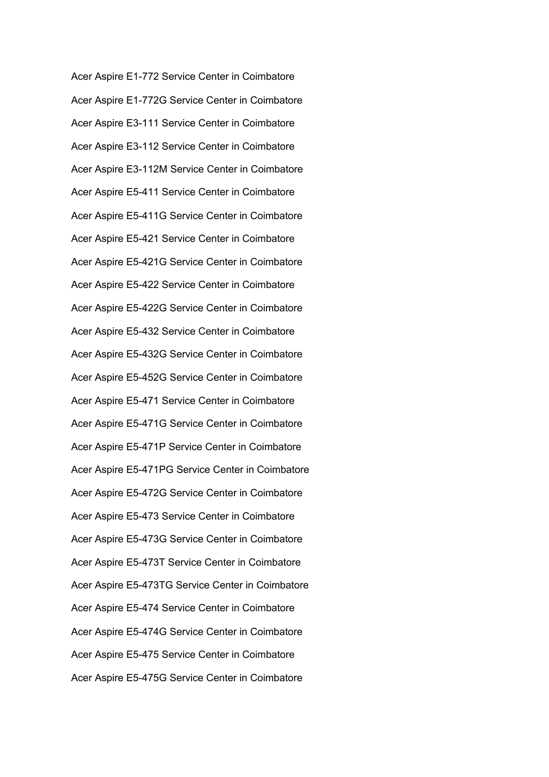Acer Aspire E1-772 Service Center in Coimbatore Acer Aspire E1-772G Service Center in Coimbatore Acer Aspire E3-111 Service Center in Coimbatore Acer Aspire E3-112 Service Center in Coimbatore Acer Aspire E3-112M Service Center in Coimbatore Acer Aspire E5-411 Service Center in Coimbatore Acer Aspire E5-411G Service Center in Coimbatore Acer Aspire E5-421 Service Center in Coimbatore Acer Aspire E5-421G Service Center in Coimbatore Acer Aspire E5-422 Service Center in Coimbatore Acer Aspire E5-422G Service Center in Coimbatore Acer Aspire E5-432 Service Center in Coimbatore Acer Aspire E5-432G Service Center in Coimbatore Acer Aspire E5-452G Service Center in Coimbatore Acer Aspire E5-471 Service Center in Coimbatore Acer Aspire E5-471G Service Center in Coimbatore Acer Aspire E5-471P Service Center in Coimbatore Acer Aspire E5-471PG Service Center in Coimbatore Acer Aspire E5-472G Service Center in Coimbatore Acer Aspire E5-473 Service Center in Coimbatore Acer Aspire E5-473G Service Center in Coimbatore Acer Aspire E5-473T Service Center in Coimbatore Acer Aspire E5-473TG Service Center in Coimbatore Acer Aspire E5-474 Service Center in Coimbatore Acer Aspire E5-474G Service Center in Coimbatore Acer Aspire E5-475 Service Center in Coimbatore Acer Aspire E5-475G Service Center in Coimbatore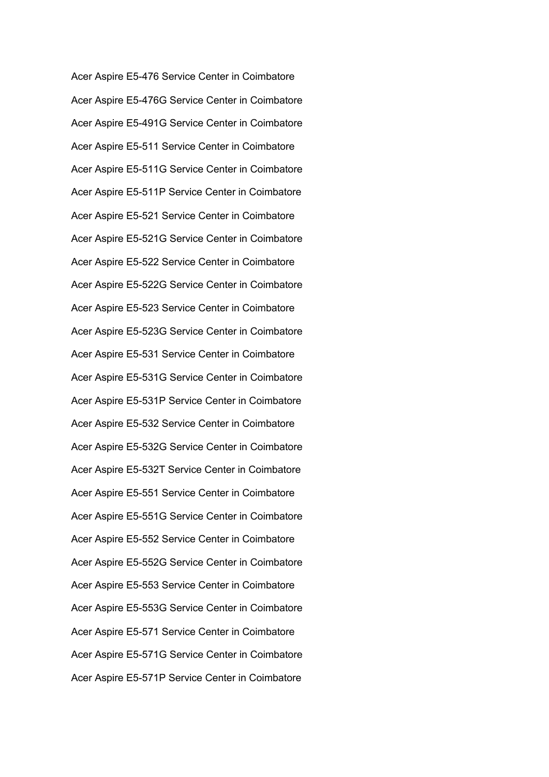Acer Aspire E5-476 Service Center in Coimbatore Acer Aspire E5-476G Service Center in Coimbatore Acer Aspire E5-491G Service Center in Coimbatore Acer Aspire E5-511 Service Center in Coimbatore Acer Aspire E5-511G Service Center in Coimbatore Acer Aspire E5-511P Service Center in Coimbatore Acer Aspire E5-521 Service Center in Coimbatore Acer Aspire E5-521G Service Center in Coimbatore Acer Aspire E5-522 Service Center in Coimbatore Acer Aspire E5-522G Service Center in Coimbatore Acer Aspire E5-523 Service Center in Coimbatore Acer Aspire E5-523G Service Center in Coimbatore Acer Aspire E5-531 Service Center in Coimbatore Acer Aspire E5-531G Service Center in Coimbatore Acer Aspire E5-531P Service Center in Coimbatore Acer Aspire E5-532 Service Center in Coimbatore Acer Aspire E5-532G Service Center in Coimbatore Acer Aspire E5-532T Service Center in Coimbatore Acer Aspire E5-551 Service Center in Coimbatore Acer Aspire E5-551G Service Center in Coimbatore Acer Aspire E5-552 Service Center in Coimbatore Acer Aspire E5-552G Service Center in Coimbatore Acer Aspire E5-553 Service Center in Coimbatore Acer Aspire E5-553G Service Center in Coimbatore Acer Aspire E5-571 Service Center in Coimbatore Acer Aspire E5-571G Service Center in Coimbatore Acer Aspire E5-571P Service Center in Coimbatore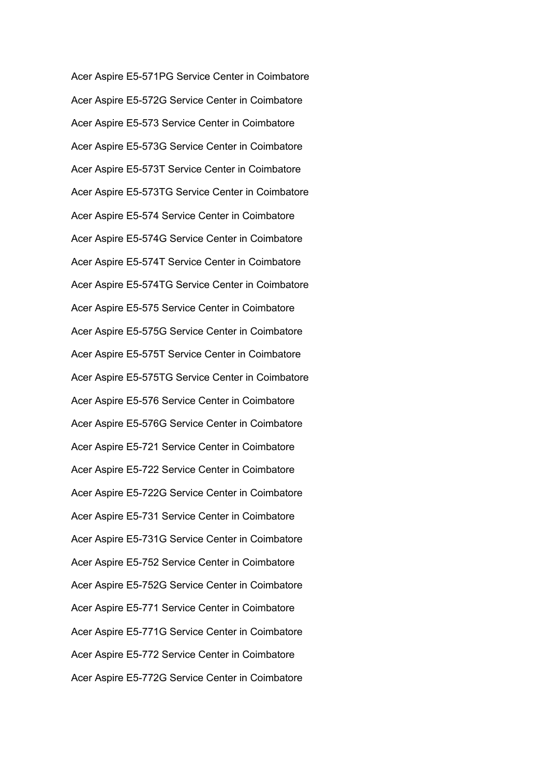Acer Aspire E5-571PG Service Center in Coimbatore Acer Aspire E5-572G Service Center in Coimbatore Acer Aspire E5-573 Service Center in Coimbatore Acer Aspire E5-573G Service Center in Coimbatore Acer Aspire E5-573T Service Center in Coimbatore Acer Aspire E5-573TG Service Center in Coimbatore Acer Aspire E5-574 Service Center in Coimbatore Acer Aspire E5-574G Service Center in Coimbatore Acer Aspire E5-574T Service Center in Coimbatore Acer Aspire E5-574TG Service Center in Coimbatore Acer Aspire E5-575 Service Center in Coimbatore Acer Aspire E5-575G Service Center in Coimbatore Acer Aspire E5-575T Service Center in Coimbatore Acer Aspire E5-575TG Service Center in Coimbatore Acer Aspire E5-576 Service Center in Coimbatore Acer Aspire E5-576G Service Center in Coimbatore Acer Aspire E5-721 Service Center in Coimbatore Acer Aspire E5-722 Service Center in Coimbatore Acer Aspire E5-722G Service Center in Coimbatore Acer Aspire E5-731 Service Center in Coimbatore Acer Aspire E5-731G Service Center in Coimbatore Acer Aspire E5-752 Service Center in Coimbatore Acer Aspire E5-752G Service Center in Coimbatore Acer Aspire E5-771 Service Center in Coimbatore Acer Aspire E5-771G Service Center in Coimbatore Acer Aspire E5-772 Service Center in Coimbatore Acer Aspire E5-772G Service Center in Coimbatore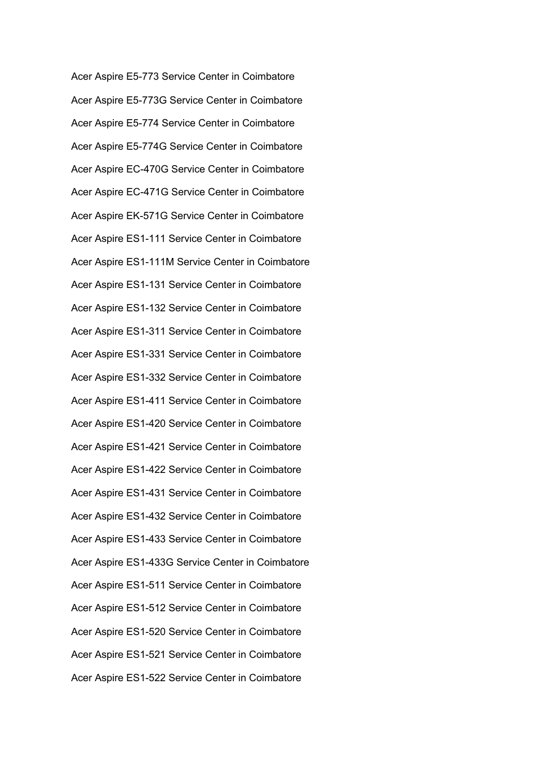Acer Aspire E5-773 Service Center in Coimbatore Acer Aspire E5-773G Service Center in Coimbatore Acer Aspire E5-774 Service Center in Coimbatore Acer Aspire E5-774G Service Center in Coimbatore Acer Aspire EC-470G Service Center in Coimbatore Acer Aspire EC-471G Service Center in Coimbatore Acer Aspire EK-571G Service Center in Coimbatore Acer Aspire ES1-111 Service Center in Coimbatore Acer Aspire ES1-111M Service Center in Coimbatore Acer Aspire ES1-131 Service Center in Coimbatore Acer Aspire ES1-132 Service Center in Coimbatore Acer Aspire ES1-311 Service Center in Coimbatore Acer Aspire ES1-331 Service Center in Coimbatore Acer Aspire ES1-332 Service Center in Coimbatore Acer Aspire ES1-411 Service Center in Coimbatore Acer Aspire ES1-420 Service Center in Coimbatore Acer Aspire ES1-421 Service Center in Coimbatore Acer Aspire ES1-422 Service Center in Coimbatore Acer Aspire ES1-431 Service Center in Coimbatore Acer Aspire ES1-432 Service Center in Coimbatore Acer Aspire ES1-433 Service Center in Coimbatore Acer Aspire ES1-433G Service Center in Coimbatore Acer Aspire ES1-511 Service Center in Coimbatore Acer Aspire ES1-512 Service Center in Coimbatore Acer Aspire ES1-520 Service Center in Coimbatore Acer Aspire ES1-521 Service Center in Coimbatore Acer Aspire ES1-522 Service Center in Coimbatore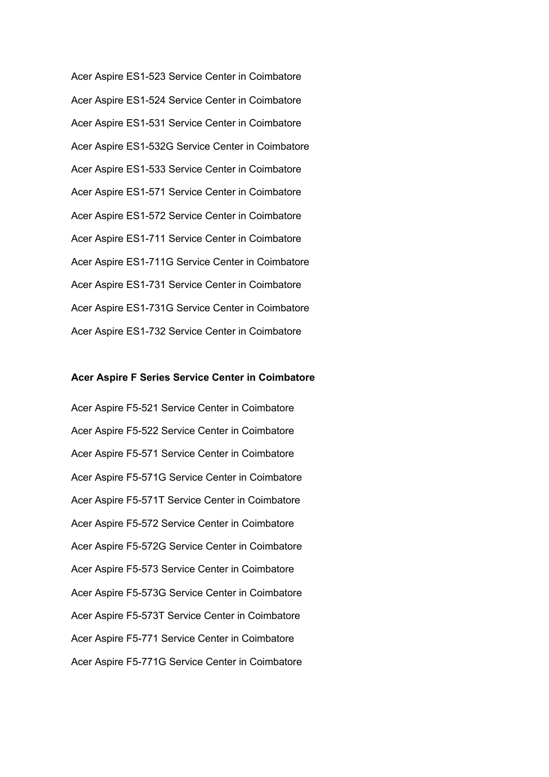Acer Aspire ES1-523 Service Center in Coimbatore Acer Aspire ES1-524 Service Center in Coimbatore Acer Aspire ES1-531 Service Center in Coimbatore Acer Aspire ES1-532G Service Center in Coimbatore Acer Aspire ES1-533 Service Center in Coimbatore Acer Aspire ES1-571 Service Center in Coimbatore Acer Aspire ES1-572 Service Center in Coimbatore Acer Aspire ES1-711 Service Center in Coimbatore Acer Aspire ES1-711G Service Center in Coimbatore Acer Aspire ES1-731 Service Center in Coimbatore Acer Aspire ES1-731G Service Center in Coimbatore Acer Aspire ES1-732 Service Center in Coimbatore

## **Acer Aspire F Series Service Center in Coimbatore**

Acer Aspire F5-521 Service Center in Coimbatore Acer Aspire F5-522 Service Center in Coimbatore Acer Aspire F5-571 Service Center in Coimbatore Acer Aspire F5-571G Service Center in Coimbatore Acer Aspire F5-571T Service Center in Coimbatore Acer Aspire F5-572 Service Center in Coimbatore Acer Aspire F5-572G Service Center in Coimbatore Acer Aspire F5-573 Service Center in Coimbatore Acer Aspire F5-573G Service Center in Coimbatore Acer Aspire F5-573T Service Center in Coimbatore Acer Aspire F5-771 Service Center in Coimbatore Acer Aspire F5-771G Service Center in Coimbatore